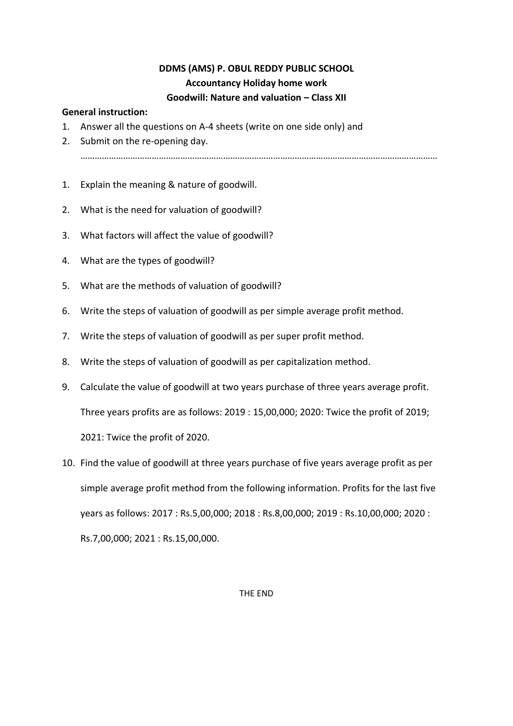### **DDMS (AMS) P. OBUL REDDY PUBLIC SCHOOL Accountancy Holiday home work Goodwill: Nature and valuation – Class XII**

#### **General instruction:**

- 1. Answer all the questions on A-4 sheets (write on one side only) and
- 2. Submit on the re-opening day. ……………………………………………………………………………………………………………………………………
- 1. Explain the meaning & nature of goodwill.
- 2. What is the need for valuation of goodwill?
- 3. What factors will affect the value of goodwill?
- 4. What are the types of goodwill?
- 5. What are the methods of valuation of goodwill?
- 6. Write the steps of valuation of goodwill as per simple average profit method.
- 7. Write the steps of valuation of goodwill as per super profit method.
- 8. Write the steps of valuation of goodwill as per capitalization method.
- 9. Calculate the value of goodwill at two years purchase of three years average profit. Three years profits are as follows: 2019 : 15,00,000; 2020: Twice the profit of 2019; 2021: Twice the profit of 2020.
- 10. Find the value of goodwill at three years purchase of five years average profit as per simple average profit method from the following information. Profits for the last five years as follows: 2017 : Rs.5,00,000; 2018 : Rs.8,00,000; 2019 : Rs.10,00,000; 2020 : Rs.7,00,000; 2021 : Rs.15,00,000.

#### THE END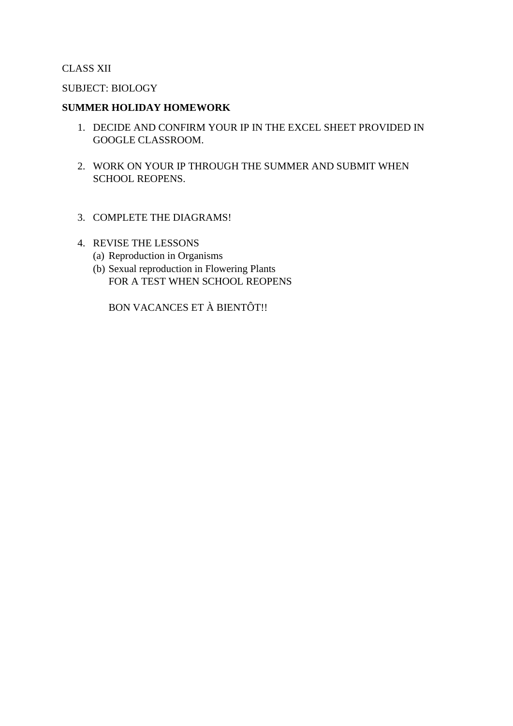#### CLASS XII

#### SUBJECT: BIOLOGY

#### **SUMMER HOLIDAY HOMEWORK**

- 1. DECIDE AND CONFIRM YOUR IP IN THE EXCEL SHEET PROVIDED IN GOOGLE CLASSROOM.
- 2. WORK ON YOUR IP THROUGH THE SUMMER AND SUBMIT WHEN SCHOOL REOPENS.
- 3. COMPLETE THE DIAGRAMS!
- 4. REVISE THE LESSONS
	- (a) Reproduction in Organisms
	- (b) Sexual reproduction in Flowering Plants FOR A TEST WHEN SCHOOL REOPENS

BON VACANCES ET À BIENTÔT!!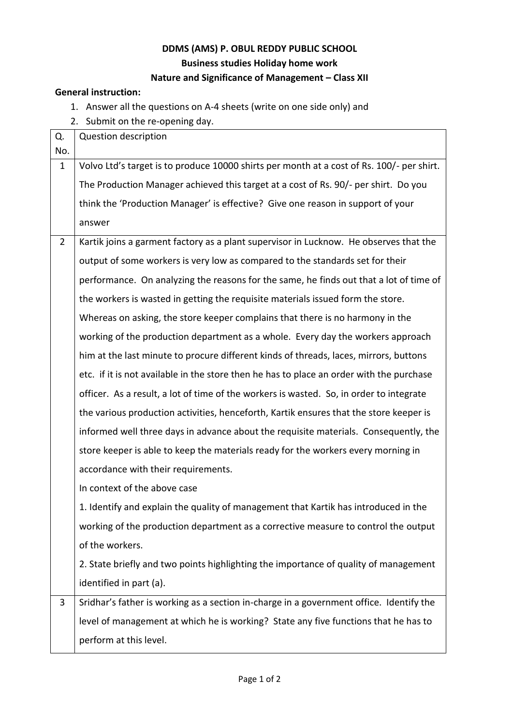### **DDMS (AMS) P. OBUL REDDY PUBLIC SCHOOL Business studies Holiday home work Nature and Significance of Management – Class XII**

#### **General instruction:**

- 1. Answer all the questions on A-4 sheets (write on one side only) and
- 2. Submit on the re-opening day.

| Q.             | Question description                                                                      |
|----------------|-------------------------------------------------------------------------------------------|
| No.            |                                                                                           |
| $\mathbf{1}$   | Volvo Ltd's target is to produce 10000 shirts per month at a cost of Rs. 100/- per shirt. |
|                | The Production Manager achieved this target at a cost of Rs. 90/- per shirt. Do you       |
|                | think the 'Production Manager' is effective? Give one reason in support of your           |
|                | answer                                                                                    |
| $\overline{2}$ | Kartik joins a garment factory as a plant supervisor in Lucknow. He observes that the     |
|                | output of some workers is very low as compared to the standards set for their             |
|                | performance. On analyzing the reasons for the same, he finds out that a lot of time of    |
|                | the workers is wasted in getting the requisite materials issued form the store.           |
|                | Whereas on asking, the store keeper complains that there is no harmony in the             |
|                | working of the production department as a whole. Every day the workers approach           |
|                | him at the last minute to procure different kinds of threads, laces, mirrors, buttons     |
|                | etc. if it is not available in the store then he has to place an order with the purchase  |
|                | officer. As a result, a lot of time of the workers is wasted. So, in order to integrate   |
|                | the various production activities, henceforth, Kartik ensures that the store keeper is    |
|                | informed well three days in advance about the requisite materials. Consequently, the      |
|                | store keeper is able to keep the materials ready for the workers every morning in         |
|                | accordance with their requirements.                                                       |
|                | In context of the above case                                                              |
|                | 1. Identify and explain the quality of management that Kartik has introduced in the       |
|                | working of the production department as a corrective measure to control the output        |
|                | of the workers.                                                                           |
|                | 2. State briefly and two points highlighting the importance of quality of management      |
|                | identified in part (a).                                                                   |
| 3              | Sridhar's father is working as a section in-charge in a government office. Identify the   |
|                | level of management at which he is working? State any five functions that he has to       |
|                | perform at this level.                                                                    |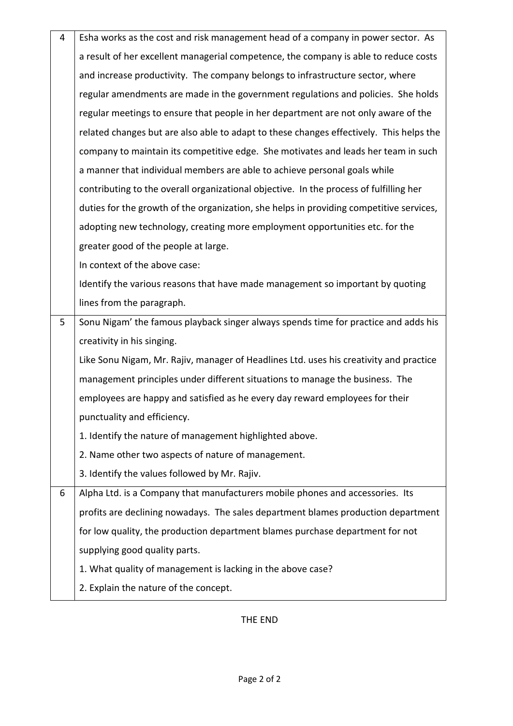| 4 | Esha works as the cost and risk management head of a company in power sector. As        |
|---|-----------------------------------------------------------------------------------------|
|   | a result of her excellent managerial competence, the company is able to reduce costs    |
|   | and increase productivity. The company belongs to infrastructure sector, where          |
|   | regular amendments are made in the government regulations and policies. She holds       |
|   | regular meetings to ensure that people in her department are not only aware of the      |
|   | related changes but are also able to adapt to these changes effectively. This helps the |
|   | company to maintain its competitive edge. She motivates and leads her team in such      |
|   | a manner that individual members are able to achieve personal goals while               |
|   | contributing to the overall organizational objective. In the process of fulfilling her  |
|   | duties for the growth of the organization, she helps in providing competitive services, |
|   | adopting new technology, creating more employment opportunities etc. for the            |
|   | greater good of the people at large.                                                    |
|   | In context of the above case:                                                           |
|   | Identify the various reasons that have made management so important by quoting          |
|   | lines from the paragraph.                                                               |
| 5 | Sonu Nigam' the famous playback singer always spends time for practice and adds his     |
|   |                                                                                         |
|   | creativity in his singing.                                                              |
|   | Like Sonu Nigam, Mr. Rajiv, manager of Headlines Ltd. uses his creativity and practice  |
|   | management principles under different situations to manage the business. The            |
|   | employees are happy and satisfied as he every day reward employees for their            |
|   | punctuality and efficiency.                                                             |
|   | 1. Identify the nature of management highlighted above.                                 |
|   | 2. Name other two aspects of nature of management.                                      |
|   | 3. Identify the values followed by Mr. Rajiv.                                           |
| 6 | Alpha Ltd. is a Company that manufacturers mobile phones and accessories. Its           |
|   | profits are declining nowadays. The sales department blames production department       |
|   | for low quality, the production department blames purchase department for not           |
|   | supplying good quality parts.                                                           |
|   | 1. What quality of management is lacking in the above case?                             |

THE END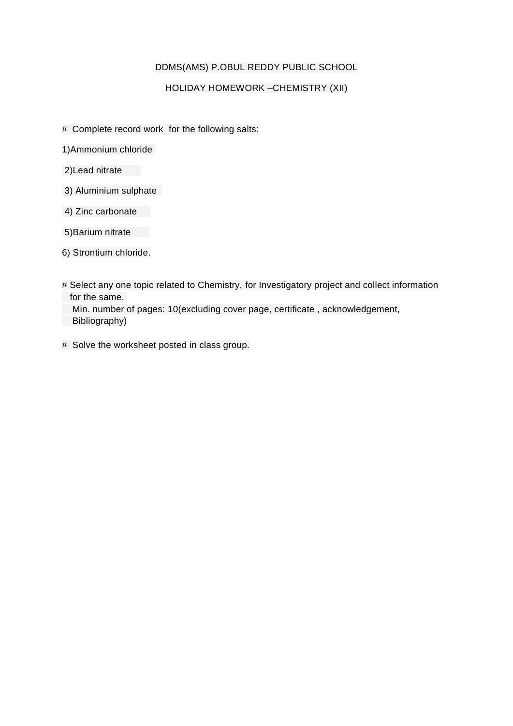#### DDMS(AMS) P.OBUL REDDY PUBLIC SCHOOL

#### HOLIDAY HOMEWORK –CHEMISTRY (XII)

- # Complete record work for the following salts:
- 1)Ammonium chloride
- 2)Lead nitrate
- 3) Aluminium sulphate
- 4) Zinc carbonate
- 5)Barium nitrate
- 6) Strontium chloride.
- # Select any one topic related to Chemistry, for Investigatory project and collect information for the same. Min. number of pages: 10(excluding cover page, certificate , acknowledgement, Bibliography)
- # Solve the worksheet posted in class group.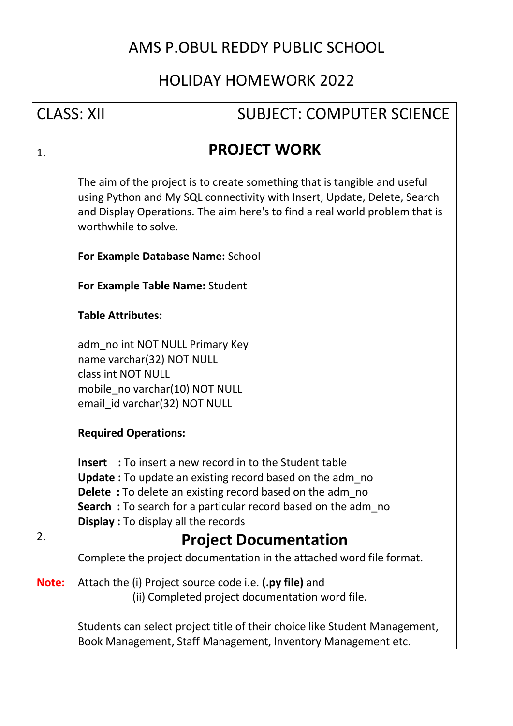# AMS P.OBUL REDDY PUBLIC SCHOOL

# HOLIDAY HOMEWORK 2022

| <b>CLASS: XII</b> | <b>SUBJECT: COMPUTER SCIENCE</b>                                                                                                                                                                                                                                                                                     |
|-------------------|----------------------------------------------------------------------------------------------------------------------------------------------------------------------------------------------------------------------------------------------------------------------------------------------------------------------|
| 1.                | <b>PROJECT WORK</b>                                                                                                                                                                                                                                                                                                  |
|                   | The aim of the project is to create something that is tangible and useful<br>using Python and My SQL connectivity with Insert, Update, Delete, Search<br>and Display Operations. The aim here's to find a real world problem that is<br>worthwhile to solve.                                                         |
|                   | For Example Database Name: School                                                                                                                                                                                                                                                                                    |
|                   | For Example Table Name: Student                                                                                                                                                                                                                                                                                      |
|                   | <b>Table Attributes:</b>                                                                                                                                                                                                                                                                                             |
|                   | adm_no int NOT NULL Primary Key<br>name varchar(32) NOT NULL<br>class int NOT NULL                                                                                                                                                                                                                                   |
|                   | mobile_no varchar(10) NOT NULL<br>email_id varchar(32) NOT NULL                                                                                                                                                                                                                                                      |
|                   | <b>Required Operations:</b>                                                                                                                                                                                                                                                                                          |
|                   | <b>Insert</b> : To insert a new record in to the Student table<br><b>Update:</b> To update an existing record based on the adm_no<br><b>Delete</b> : To delete an existing record based on the adm_no<br>Search: To search for a particular record based on the adm_no<br><b>Display:</b> To display all the records |
| 2.                | <b>Project Documentation</b>                                                                                                                                                                                                                                                                                         |
|                   | Complete the project documentation in the attached word file format.                                                                                                                                                                                                                                                 |
| Note:             | Attach the (i) Project source code i.e. (.py file) and<br>(ii) Completed project documentation word file.                                                                                                                                                                                                            |
|                   | Students can select project title of their choice like Student Management,<br>Book Management, Staff Management, Inventory Management etc.                                                                                                                                                                           |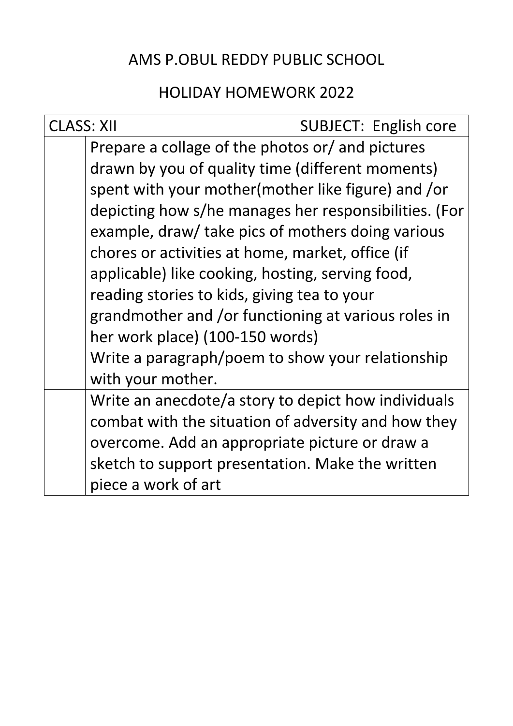# AMS P.OBUL REDDY PUBLIC SCHOOL

# HOLIDAY HOMEWORK 2022

| <b>CLASS: XII</b> | SUBJECT: English core                                 |
|-------------------|-------------------------------------------------------|
|                   | Prepare a collage of the photos or/ and pictures      |
|                   | drawn by you of quality time (different moments)      |
|                   | spent with your mother (mother like figure) and /or   |
|                   | depicting how s/he manages her responsibilities. (For |
|                   | example, draw/ take pics of mothers doing various     |
|                   | chores or activities at home, market, office (if      |
|                   | applicable) like cooking, hosting, serving food,      |
|                   | reading stories to kids, giving tea to your           |
|                   | grandmother and /or functioning at various roles in   |
|                   | her work place) (100-150 words)                       |
|                   | Write a paragraph/poem to show your relationship      |
|                   | with your mother.                                     |
|                   | Write an anecdote/a story to depict how individuals   |
|                   | combat with the situation of adversity and how they   |
|                   | overcome. Add an appropriate picture or draw a        |
|                   | sketch to support presentation. Make the written      |
|                   | piece a work of art                                   |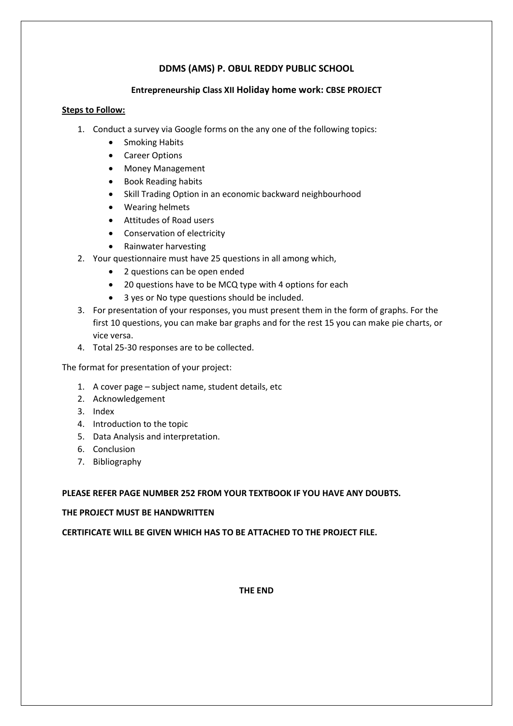#### **DDMS (AMS) P. OBUL REDDY PUBLIC SCHOOL**

#### **Entrepreneurship Class XII Holiday home work: CBSE PROJECT**

#### **Steps to Follow:**

- 1. Conduct a survey via Google forms on the any one of the following topics:
	- Smoking Habits
	- Career Options
	- Money Management
	- Book Reading habits
	- Skill Trading Option in an economic backward neighbourhood
	- Wearing helmets
	- Attitudes of Road users
	- Conservation of electricity
	- Rainwater harvesting
- 2. Your questionnaire must have 25 questions in all among which,
	- 2 questions can be open ended
	- 20 questions have to be MCQ type with 4 options for each
	- 3 yes or No type questions should be included.
- 3. For presentation of your responses, you must present them in the form of graphs. For the first 10 questions, you can make bar graphs and for the rest 15 you can make pie charts, or vice versa.
- 4. Total 25-30 responses are to be collected.

The format for presentation of your project:

- 1. A cover page subject name, student details, etc
- 2. Acknowledgement
- 3. Index
- 4. Introduction to the topic
- 5. Data Analysis and interpretation.
- 6. Conclusion
- 7. Bibliography

#### **PLEASE REFER PAGE NUMBER 252 FROM YOUR TEXTBOOK IF YOU HAVE ANY DOUBTS.**

#### **THE PROJECT MUST BE HANDWRITTEN**

**CERTIFICATE WILL BE GIVEN WHICH HAS TO BE ATTACHED TO THE PROJECT FILE.**

**THE END**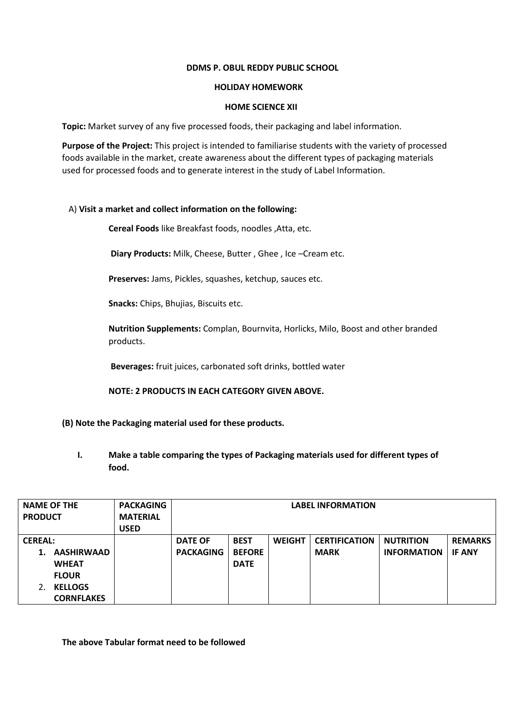#### **DDMS P. OBUL REDDY PUBLIC SCHOOL**

#### **HOLIDAY HOMEWORK**

#### **HOME SCIENCE XII**

**Topic:** Market survey of any five processed foods, their packaging and label information.

**Purpose of the Project:** This project is intended to familiarise students with the variety of processed foods available in the market, create awareness about the different types of packaging materials used for processed foods and to generate interest in the study of Label Information.

#### A) **Visit a market and collect information on the following:**

**Cereal Foods** like Breakfast foods, noodles ,Atta, etc.

**Diary Products:** Milk, Cheese, Butter , Ghee , Ice –Cream etc.

**Preserves:** Jams, Pickles, squashes, ketchup, sauces etc.

**Snacks:** Chips, Bhujias, Biscuits etc.

**Nutrition Supplements:** Complan, Bournvita, Horlicks, Milo, Boost and other branded products.

**Beverages:** fruit juices, carbonated soft drinks, bottled water

**NOTE: 2 PRODUCTS IN EACH CATEGORY GIVEN ABOVE.** 

- **(B) Note the Packaging material used for these products.**
	- **I. Make a table comparing the types of Packaging materials used for different types of food.**

| <b>NAME OF THE</b> |                   | <b>PACKAGING</b> | <b>LABEL INFORMATION</b> |               |               |                      |                    |                |
|--------------------|-------------------|------------------|--------------------------|---------------|---------------|----------------------|--------------------|----------------|
| <b>PRODUCT</b>     |                   | <b>MATERIAL</b>  |                          |               |               |                      |                    |                |
|                    |                   | <b>USED</b>      |                          |               |               |                      |                    |                |
| <b>CEREAL:</b>     |                   |                  | <b>DATE OF</b>           | <b>BEST</b>   | <b>WEIGHT</b> | <b>CERTIFICATION</b> | <b>NUTRITION</b>   | <b>REMARKS</b> |
| 1.                 | <b>AASHIRWAAD</b> |                  | <b>PACKAGING</b>         | <b>BEFORE</b> |               | <b>MARK</b>          | <b>INFORMATION</b> | <b>IF ANY</b>  |
|                    | <b>WHEAT</b>      |                  |                          | <b>DATE</b>   |               |                      |                    |                |
|                    | <b>FLOUR</b>      |                  |                          |               |               |                      |                    |                |
| 2.                 | <b>KELLOGS</b>    |                  |                          |               |               |                      |                    |                |
|                    | <b>CORNFLAKES</b> |                  |                          |               |               |                      |                    |                |

**The above Tabular format need to be followed**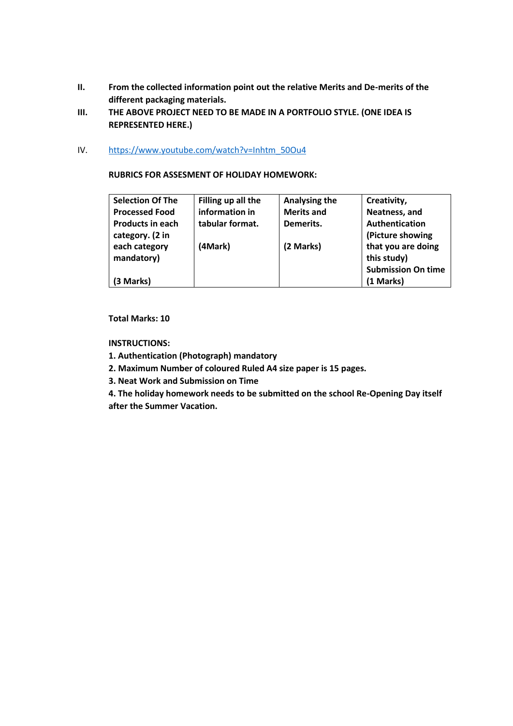- **II. From the collected information point out the relative Merits and De-merits of the different packaging materials.**
- **III. THE ABOVE PROJECT NEED TO BE MADE IN A PORTFOLIO STYLE. (ONE IDEA IS REPRESENTED HERE.)**
- IV. [https://www.youtube.com/watch?v=Inhtm\\_50Ou4](https://www.youtube.com/watch?v=Inhtm_50Ou4)

#### **RUBRICS FOR ASSESMENT OF HOLIDAY HOMEWORK:**

| <b>Selection Of The</b> | Filling up all the | Analysing the     | Creativity,               |
|-------------------------|--------------------|-------------------|---------------------------|
| <b>Processed Food</b>   | information in     | <b>Merits and</b> | Neatness, and             |
| <b>Products in each</b> | tabular format.    | Demerits.         | Authentication            |
| category. (2 in         |                    |                   | (Picture showing          |
| each category           | (4Mark)            | (2 Marks)         | that you are doing        |
| mandatory)              |                    |                   | this study)               |
|                         |                    |                   | <b>Submission On time</b> |
| (3 Marks)               |                    |                   | (1 Marks)                 |

#### **Total Marks: 10**

#### **INSTRUCTIONS:**

- **1. Authentication (Photograph) mandatory**
- **2. Maximum Number of coloured Ruled A4 size paper is 15 pages.**
- **3. Neat Work and Submission on Time**
- **4. The holiday homework needs to be submitted on the school Re-Opening Day itself after the Summer Vacation.**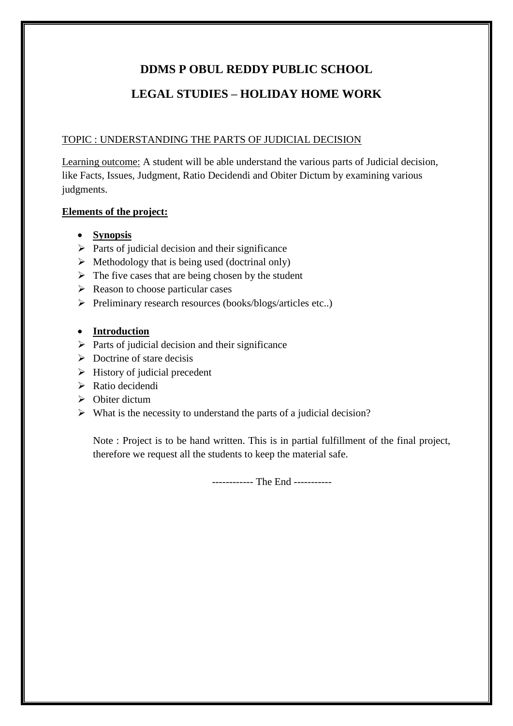### **DDMS P OBUL REDDY PUBLIC SCHOOL**

### **LEGAL STUDIES – HOLIDAY HOME WORK**

#### TOPIC : UNDERSTANDING THE PARTS OF JUDICIAL DECISION

Learning outcome: A student will be able understand the various parts of Judicial decision, like Facts, Issues, Judgment, Ratio Decidendi and Obiter Dictum by examining various judgments.

#### **Elements of the project:**

- **Synopsis**
- $\triangleright$  Parts of judicial decision and their significance
- $\triangleright$  Methodology that is being used (doctrinal only)
- $\triangleright$  The five cases that are being chosen by the student
- $\triangleright$  Reason to choose particular cases
- $\triangleright$  Preliminary research resources (books/blogs/articles etc..)

### **Introduction**

- $\triangleright$  Parts of judicial decision and their significance
- $\triangleright$  Doctrine of stare decisis
- $\triangleright$  History of judicial precedent
- $\triangleright$  Ratio decidendi
- $\triangleright$  Obiter dictum
- $\triangleright$  What is the necessity to understand the parts of a judicial decision?

Note : Project is to be hand written. This is in partial fulfillment of the final project, therefore we request all the students to keep the material safe.

------------ The End -----------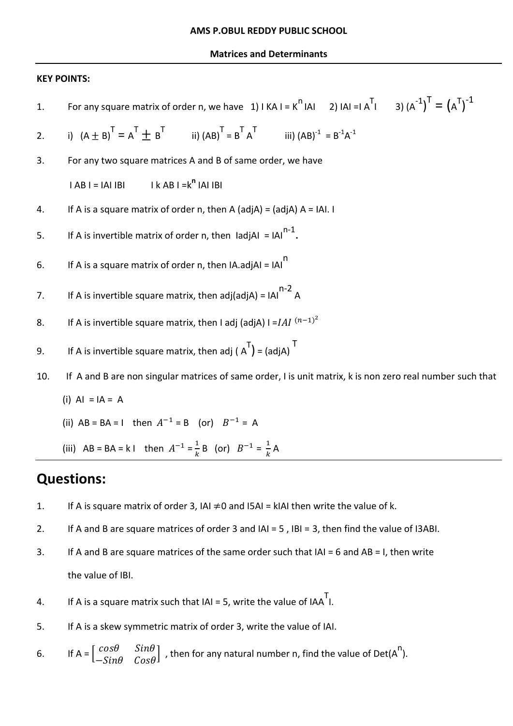#### **Matrices and Determinants**

#### **KEY POINTS:**

| 1.  | For any square matrix of order n, we have 1) $ K A  = K^T  A $ 2) $ A  =  A^T $ 3) $(A^{-1})^T = (A^T)^{-1}$ |
|-----|--------------------------------------------------------------------------------------------------------------|
| 2.  | i) $(A \pm B)^T = A^T \pm B^T$ ii) $(AB)^T = B^T A^T$ iii) $(AB)^{-1} = B^{-1}A^{-1}$                        |
| 3.  | For any two square matrices A and B of same order, we have                                                   |
|     | $IAB I = IAI IBI$ $I k AB I = k^0 IAI IBI$                                                                   |
| 4.  | If A is a square matrix of order n, then A (adjA) = (adjA) $A = IAI$ . I                                     |
| 5.  | If A is invertible matrix of order n, then IadjAI = $\text{IA}^{n-1}$ .                                      |
| 6.  | If A is a square matrix of order n, then $IA.add AI = IAI$                                                   |
| 7.  | If A is invertible square matrix, then adj(adjA) = $\text{IA}^{\text{n-2}}$ A                                |
| 8.  | If A is invertible square matrix, then I adj (adjA) I = $IAI^{(n-1)^2}$                                      |
| 9.  | If A is invertible square matrix, then adj ( $A^{T}$ ) = (adjA) <sup>T</sup>                                 |
| 10. | If A and B are non singular matrices of same order, I is unit matrix, k is non zero real number such that    |
|     | $(i)$ AI = IA = A                                                                                            |
|     | (ii) $AB = BA = 1$ then $A^{-1} = B$ (or) $B^{-1} = A$                                                       |

(iii)  $AB = BA = k1$  then  $A^{-1} = \frac{1}{k}$  $\frac{1}{k}$  B (or)  $B^{-1} = \frac{1}{k}$  $\frac{1}{k}A$ 

### **Questions:**

- 1. If A is square matrix of order 3, IAI  $\neq$ 0 and I5AI = kIAI then write the value of k.
- 2. If A and B are square matrices of order 3 and IAI = 5 , IBI = 3, then find the value of I3ABI.
- 3. If A and B are square matrices of the same order such that IAI = 6 and AB = I, then write the value of IBI.
- 4. If A is a square matrix such that  $|A| = 5$ , write the value of  $|AA^T|$ .
- 5. If A is a skew symmetric matrix of order 3, write the value of IAI.

6. If 
$$
A = \begin{bmatrix} cos\theta & sin\theta \\ -Sin\theta & Cos\theta \end{bmatrix}
$$
, then for any natural number n, find the value of  $Det(A^n)$ .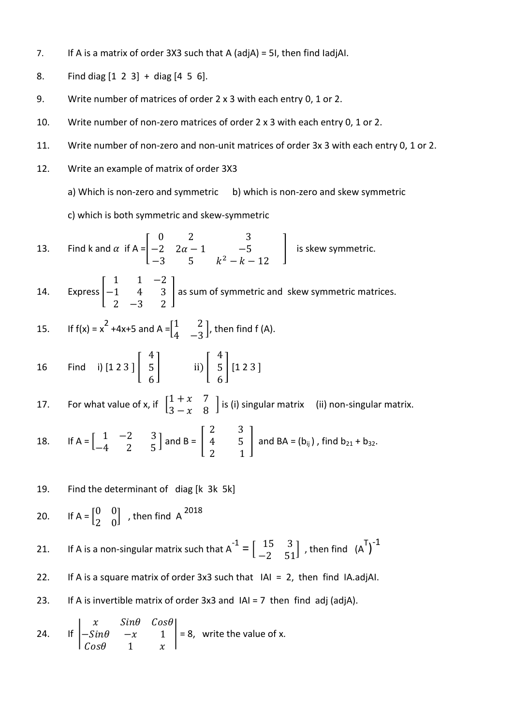- 7. If A is a matrix of order 3X3 such that A (adjA) = 5I, then find IadjAI.
- 8. Find diag [1 2 3] + diag [4 5 6].
- 9. Write number of matrices of order 2 x 3 with each entry 0, 1 or 2.
- 10. Write number of non-zero matrices of order 2 x 3 with each entry 0, 1 or 2.
- 11. Write number of non-zero and non-unit matrices of order 3x 3 with each entry 0, 1 or 2.
- 12. Write an example of matrix of order 3X3
	- a) Which is non-zero and symmetric b) which is non-zero and skew symmetric

c) which is both symmetric and skew-symmetric

13. Find k and  $\alpha$  if A =  $\boldsymbol{0}$  $\equiv$  $-3$  5  $k^2$ | is skew symmetric.

14. Express [  $\mathbf{1}$  $\equiv$  $\overline{c}$ ] as sum of symmetric and skew symmetric matrices.

15. If 
$$
f(x) = x^2 + 4x + 5
$$
 and  $A = \begin{bmatrix} 1 & 2 \\ 4 & -3 \end{bmatrix}$ , then find  $f(A)$ .

16 Find i) [1 2 3 ] [  $\overline{\mathcal{L}}$ 5 6  $\vert$  ii)  $\vert$  $\overline{\mathcal{L}}$ 5 6  $[1 2 3]$ 

17. For what value of x, if  $\begin{bmatrix} 1 \\ 2 \end{bmatrix}$  $\begin{bmatrix} 1 & 1 & 1 \\ 3 & -x & 8 \end{bmatrix}$  is (i) singular matrix (ii) non-singular matrix.

18. If 
$$
A = \begin{bmatrix} 1 & -2 & 3 \\ -4 & 2 & 5 \end{bmatrix}
$$
 and  $B = \begin{bmatrix} 2 & 3 \\ 4 & 5 \\ 2 & 1 \end{bmatrix}$  and  $BA = (b_{ij})$ , find  $b_{21} + b_{32}$ .

19. Find the determinant of diag [k 3k 5k]

20. If 
$$
A = \begin{bmatrix} 0 & 0 \\ 2 & 0 \end{bmatrix}
$$
, then find A <sup>2018</sup>

- 21. If A is a non-singular matrix such that  $A^{-1} = \begin{bmatrix} 15 & 3 \\ -2 & 51 \end{bmatrix}$ , then find  $(A^{T})^{-1}$
- 22. If A is a square matrix of order 3x3 such that IAI = 2, then find IA.adjAI.
- 23. If A is invertible matrix of order  $3x3$  and  $|A| = 7$  then find adj (adjA).

24. If 
$$
\begin{vmatrix} x & \sin \theta & \cos \theta \\ -\sin \theta & -x & 1 \\ \cos \theta & 1 & x \end{vmatrix} = 8
$$
, write the value of x.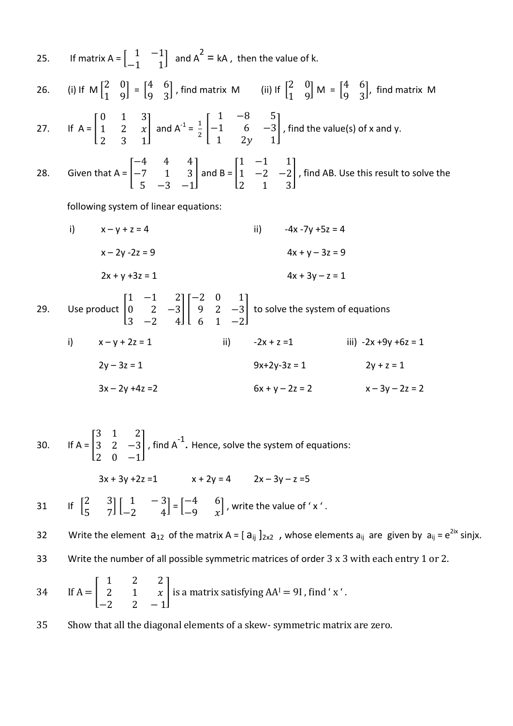26. (i) If M  $\binom{2}{1}$  $\begin{bmatrix} 2 & 0 \\ 1 & 9 \end{bmatrix} = \begin{bmatrix} 4 \\ 9 \end{bmatrix}$  $\begin{pmatrix} 4 & 6 \\ 9 & 3 \end{pmatrix}$ , find matrix M (ii) If  $\begin{bmatrix} 2 \\ 1 \end{bmatrix}$  $\begin{bmatrix} 2 & 0 \\ 1 & 9 \end{bmatrix}$  M =  $\begin{bmatrix} 4 \\ 9 \end{bmatrix}$  $\begin{bmatrix} 7 & 0 \\ 9 & 3 \end{bmatrix}$ , find matrix M 27. If  $A =$  $\boldsymbol{0}$  $\mathbf{1}$  $\overline{c}$ and A<sup>-1</sup> =  $\frac{1}{2}$  $\frac{1}{2}$  $\mathbf{1}$ —<br>—  $\mathbf{1}$ ] , find the value(s) of x and y. 28. Given that  $A =$  $\equiv$  $\equiv$ 5  $|$  and B =  $|$  $\mathbf{1}$  $\mathbf{1}$  $\overline{c}$ ] , find AB. Use this result to solve the following system of linear equations:

i)  $x - y + z = 4$  ii)  $-4x - 7y + 5z = 4$  $x - 2y - 2z = 9$   $4x + y - 3z = 9$  $2x + y + 3z = 1$   $4x + 3y - z = 1$ 29. Use product |  $\mathbf{1}$  $\boldsymbol{0}$ 3  $\prod$  $\equiv$ 9 6 ] to solve the system of equations

| i) | $x - y + 2z = 1$   | ii) | $-2x + z = 1$     | iii) $-2x + 9y + 6z = 1$ |
|----|--------------------|-----|-------------------|--------------------------|
|    | $2y - 3z = 1$      |     | $9x+2y-3z = 1$    | $2y + z = 1$             |
|    | $3x - 2y + 4z = 2$ |     | $6x + y - 2z = 2$ | $x - 3y - 2z = 2$        |

30. If  $A =$ 3 3  $\overline{c}$  $\Big\vert$ , find A<sup>-1</sup>. Hence, solve the system of equations:  $3x + 3y + 2z = 1$   $x + 2y = 4$   $2x - 3y - z = 5$ 31 If  $\begin{bmatrix} 2 \\ 1 \end{bmatrix}$  $\begin{bmatrix} 2 & 3 \\ 5 & 7 \end{bmatrix} \begin{bmatrix} 1 \\ -2 \end{bmatrix}$  $\begin{bmatrix} 1 & -3 \\ -2 & 4 \end{bmatrix} = \begin{bmatrix} -1 & 0 \\ -1 & 0 \end{bmatrix}$  $\begin{bmatrix} -4 & 0 \\ -9 & x \end{bmatrix}$ , write the value of 'x'. 32 Write the element  $a_{12}$  of the matrix A =  $[a_{ij}]_{2x2}$ , whose elements  $a_{ij}$  are given by  $a_{ij} = e^{2ix}$  sinjx. 33 Write the number of all possible symmetric matrices of order 3 x 3 with each entry 1 or 2.  $34$  If  $A =$  $\mathbf{1}$  $\overline{c}$ | is a matrix satisfying  $AA^I = 9I$ , find 'x'.

35 Show that all the diagonal elements of a skew- symmetric matrix are zero.

 $\equiv$ 

#### 25. If matrix A =  $\begin{bmatrix} 1 \\ 1 \end{bmatrix}$  $\begin{bmatrix} 1 & -1 \\ -1 & 1 \end{bmatrix}$  and  $A^2 = kA$ , then the value of k.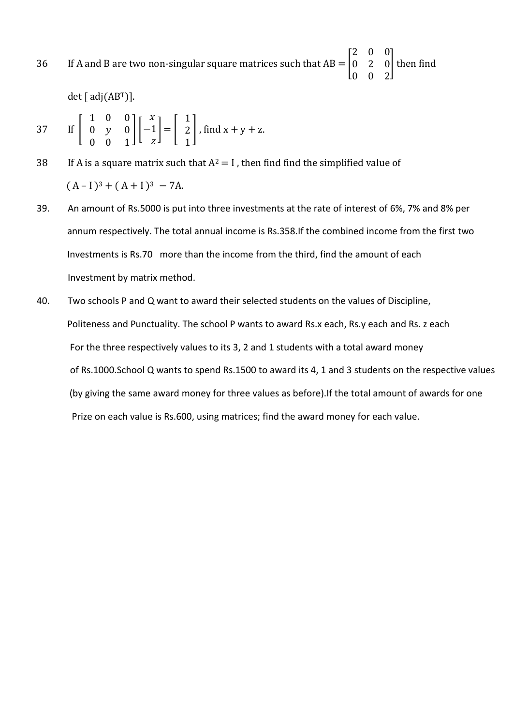36 If A and B are two non-singular square matrices such that  $AB = |$  $\overline{c}$  $\boldsymbol{0}$  $\boldsymbol{0}$ ] then find

det [ $adj(AB<sup>T</sup>)$ ].

37 If 
$$
\begin{bmatrix} 1 & 0 & 0 \\ 0 & y & 0 \\ 0 & 0 & 1 \end{bmatrix} \begin{bmatrix} x \\ -1 \\ z \end{bmatrix} = \begin{bmatrix} 1 \\ 2 \\ 1 \end{bmatrix}
$$
, find  $x + y + z$ .

- 38 If A is a square matrix such that  $A^2 = I$ , then find find the simplified value of  $(A-I)^3 + (A+I)^3 - 7A$ .
- 39. An amount of Rs.5000 is put into three investments at the rate of interest of 6%, 7% and 8% per annum respectively. The total annual income is Rs.358.If the combined income from the first two Investments is Rs.70 more than the income from the third, find the amount of each Investment by matrix method.
- 40. Two schools P and Q want to award their selected students on the values of Discipline, Politeness and Punctuality. The school P wants to award Rs.x each, Rs.y each and Rs. z each For the three respectively values to its 3, 2 and 1 students with a total award money of Rs.1000.School Q wants to spend Rs.1500 to award its 4, 1 and 3 students on the respective values (by giving the same award money for three values as before).If the total amount of awards for one Prize on each value is Rs.600, using matrices; find the award money for each value.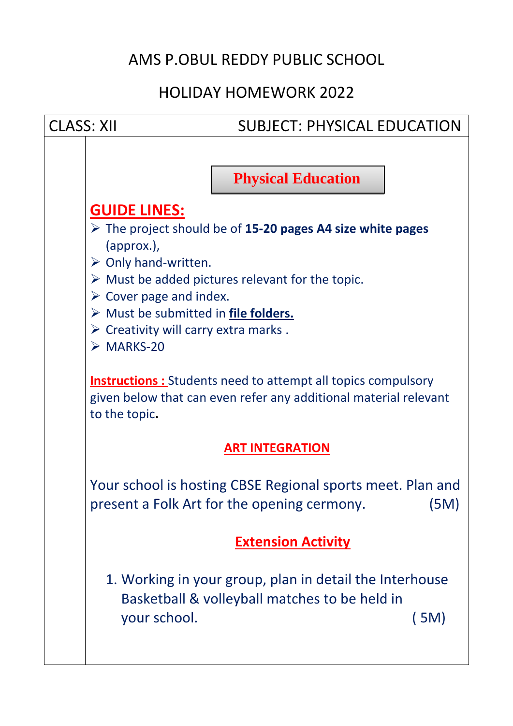# AMS P.OBUL REDDY PUBLIC SCHOOL

# HOLIDAY HOMEWORK 2022

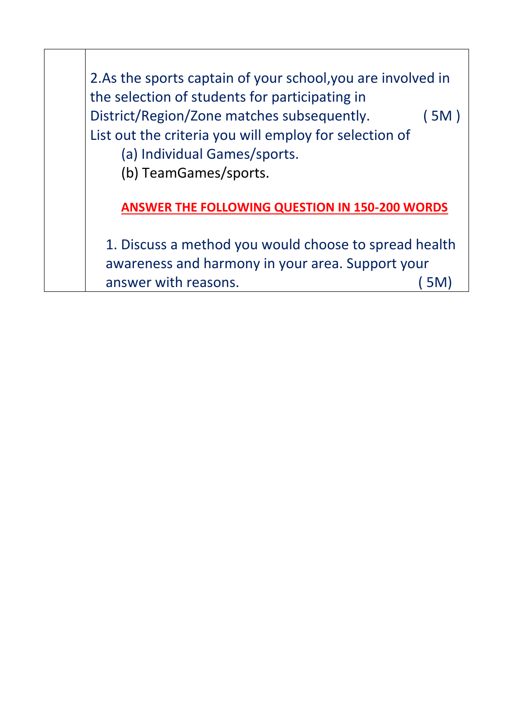2.As the sports captain of your school,you are involved in the selection of students for participating in District/Region/Zone matches subsequently. ( 5M ) List out the criteria you will employ for selection of (a) Individual Games/sports. (b) TeamGames/sports. **ANSWER THE FOLLOWING QUESTION IN 150-200 WORDS** 1. Discuss a method you would choose to spread health awareness and harmony in your area. Support your answer with reasons. (5M)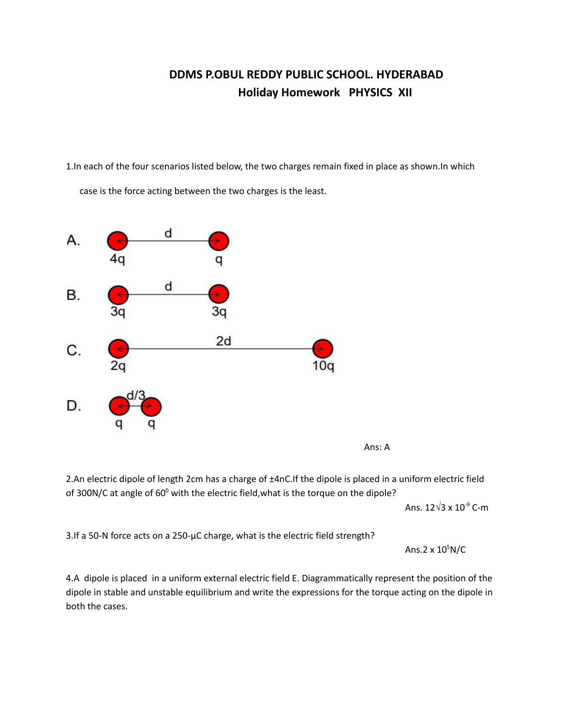### **DDMS P.OBUL REDDY PUBLIC SCHOOL. HYDERABAD Holiday Homework PHYSICS XII**

1.In each of the four scenarios listed below, the two charges remain fixed in place as shown.In which

case is the force acting between the two charges is the least.





2.An electric dipole of length 2cm has a charge of ±4nC.If the dipole is placed in a uniform electric field of 300N/C at angle of  $60^{\circ}$  with the electric field, what is the torque on the dipole?

Ans. 12√3 x 10<sup>-9</sup> C-m

3.If a 50-N force acts on a 250-µC charge, what is the electric field strength?

Ans.2 x 10<sup>5</sup>N/C

4.A dipole is placed in a uniform external electric field E. Diagrammatically represent the position of the dipole in stable and unstable equilibrium and write the expressions for the torque acting on the dipole in both the cases.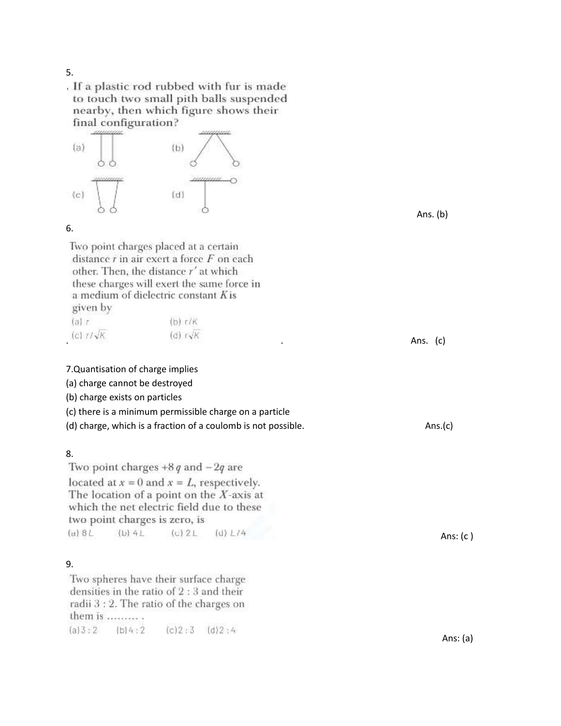#### 5.

. If a plastic rod rubbed with fur is made to touch two small pith balls suspended nearby, then which figure shows their final configuration?



#### 6.

Two point charges placed at a certain distance  $r$  in air exert a force  $F$  on each other. Then, the distance r' at which these charges will exert the same force in a medium of dielectric constant K is given by

| (a)                                | $(b)$ r/K                                    |             |
|------------------------------------|----------------------------------------------|-------------|
| $(c)$ $r/\sqrt{K}$                 | $(d)$ $r\sqrt{K}$                            |             |
| <b>A POSTER CONTRACTOR IN MORE</b> | the control of the state of the state of the | (c)<br>Ans. |

#### 7.Quantisation of charge implies

(a) charge cannot be destroyed

(b) charge exists on particles

- (c) there is a minimum permissible charge on a particle
- (d) charge, which is a fraction of a coulomb is not possible. Ans.(c)

#### 8.

Two point charges  $+8q$  and  $-2q$  are located at  $x = 0$  and  $x = L$ , respectively. The location of a point on the  $X$ -axis at which the net electric field due to these two point charges is zero, is  $(d) 8L$  $(b) 4L$  $(c)$  2 $L$  $(U) L14$ 

#### 9.

Two spheres have their surface charge densities in the ratio of  $2:3$  and their radii 3 : 2. The ratio of the charges on them is  $\ldots$ .......  $(a)3:2$  $(b)4:2$  $(c)2:3$   $(d)2:4$ 

Ans. (b)

Ans: (c )

Ans: (a)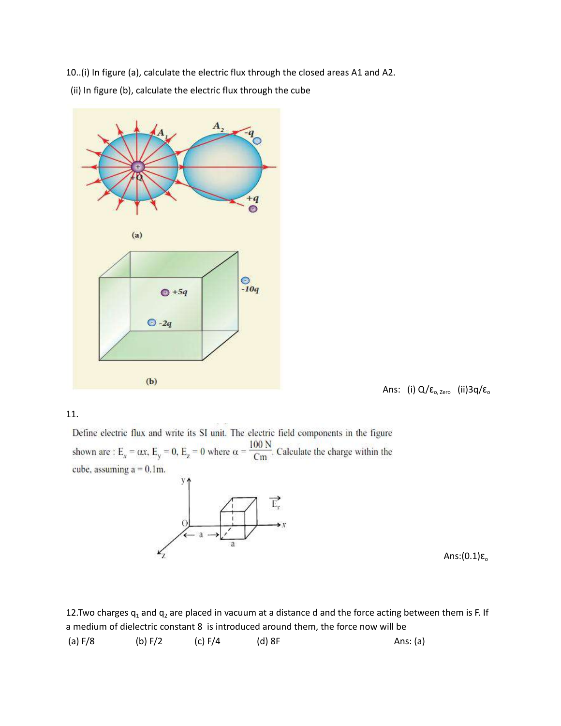10..(i) In figure (a), calculate the electric flux through the closed areas A1 and A2. (ii) In figure (b), calculate the electric flux through the cube



Ans: (i) Q/ε<sub>o, Zero</sub> (ii)3q/ε<sub>o</sub>

#### 11.

Define electric flux and write its SI unit. The electric field components in the figure shown are : E<sub>x</sub> =  $\alpha$ x, E<sub>y</sub> = 0, E<sub>z</sub> = 0 where  $\alpha = \frac{100 \text{ N}}{\text{Cm}}$ . Calculate the charge within the cube, assuming  $a = 0.1$ m.



Ans: $(0.1)$ ε<sub>o</sub>

12. Two charges  $q_1$  and  $q_2$  are placed in vacuum at a distance d and the force acting between them is F. If a medium of dielectric constant 8 is introduced around them, the force now will be

(a) F/8 (b) F/2 (c) F/4 (d) 8F Ans: (a)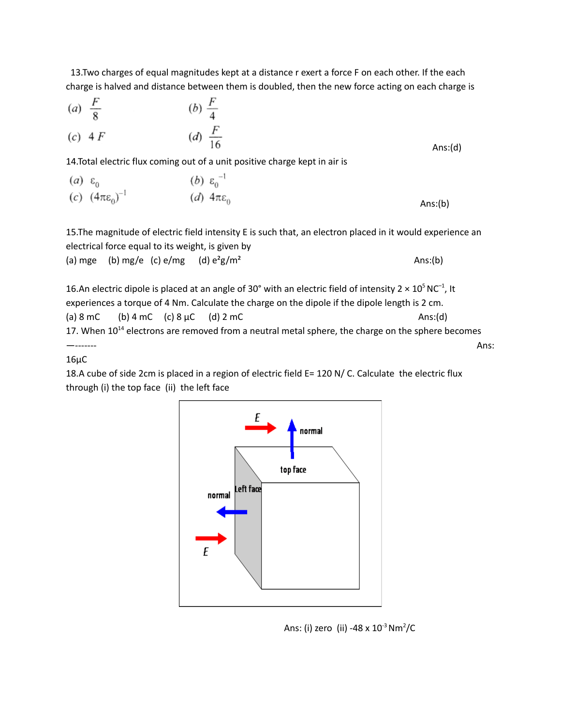13.Two charges of equal magnitudes kept at a distance r exert a force F on each other. If the each charge is halved and distance between them is doubled, then the new force acting on each charge is

(a) 
$$
\frac{F}{8}
$$
 (b)  $\frac{F}{4}$   
(c) 4 F (d)  $\frac{F}{16}$   
14.Total electric flux coming out of a unit positive charge kept in air is

$$
\begin{array}{ll}\n(a) & \varepsilon_0 & (b) & \varepsilon_0^{-1} \\
(c) & (4\pi\varepsilon_0)^{-1} & (d) & 4\pi\varepsilon_0\n\end{array}
$$
\nAns: (b)

15.The magnitude of electric field intensity E is such that, an electron placed in it would experience an electrical force equal to its weight, is given by (a) mge (b) mg/e (c) e/mg (d)  $e^2g/m^2$  Ans:(b)

16.An electric dipole is placed at an angle of 30° with an electric field of intensity 2  $\times$  10<sup>5</sup> NC<sup>-1</sup>, It experiences a torque of 4 Nm. Calculate the charge on the dipole if the dipole length is 2 cm. (a) 8 mC (b) 4 mC (c) 8  $\mu$ C (d) 2 mC Ans:(d) 17. When  $10^{14}$  electrons are removed from a neutral metal sphere, the charge on the sphere becomes —------- Ans:

16µC

18.A cube of side 2cm is placed in a region of electric field E= 120 N/ C. Calculate the electric flux through (i) the top face (ii) the left face



Ans: (i) zero (ii) -48 x 10<sup>-3</sup> Nm<sup>2</sup>/C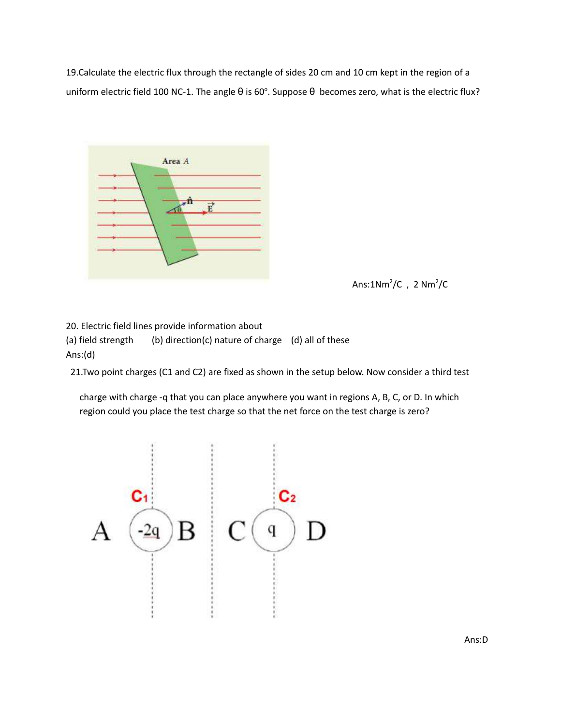19.Calculate the electric flux through the rectangle of sides 20 cm and 10 cm kept in the region of a uniform electric field 100 NC-1. The angle  $\theta$  is 60°. Suppose  $\theta$  becomes zero, what is the electric flux?



Ans: $1Nm^2/C$ ,  $2 Nm^2/C$ 

20. Electric field lines provide information about (a) field strength (b) direction(c) nature of charge (d) all of these Ans:(d)

21.Two point charges (C1 and C2) are fixed as shown in the setup below. Now consider a third test

charge with charge -q that you can place anywhere you want in regions A, B, C, or D. In which region could you place the test charge so that the net force on the test charge is zero?

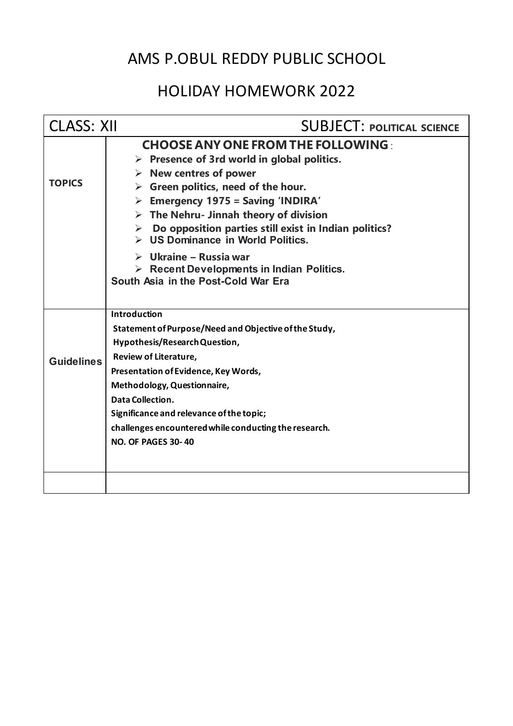# AMS P.OBUL REDDY PUBLIC SCHOOL

# HOLIDAY HOMEWORK 2022

| <b>CLASS: XII</b> | <b>SUBJECT: POLITICAL SCIENCE</b>                                                                                                                                                                                                                                                                                                                                                                                                                                                                                                                                 |
|-------------------|-------------------------------------------------------------------------------------------------------------------------------------------------------------------------------------------------------------------------------------------------------------------------------------------------------------------------------------------------------------------------------------------------------------------------------------------------------------------------------------------------------------------------------------------------------------------|
| <b>TOPICS</b>     | <b>CHOOSE ANY ONE FROM THE FOLLOWING:</b><br>$\triangleright$ Presence of 3rd world in global politics.<br>$\triangleright$ New centres of power<br>$\triangleright$ Green politics, need of the hour.<br>Emergency 1975 = Saving 'INDIRA'<br>$\triangleright$ The Nehru- Jinnah theory of division<br>Do opposition parties still exist in Indian politics?<br>➤<br>$\triangleright$ US Dominance in World Politics.<br>$\triangleright$ Ukraine – Russia war<br>$\triangleright$ Recent Developments in Indian Politics.<br>South Asia in the Post-Cold War Era |
| <b>Guidelines</b> | <b>Introduction</b><br>Statement of Purpose/Need and Objective of the Study,<br>Hypothesis/Research Question,<br>Review of Literature,<br>Presentation of Evidence, Key Words,<br>Methodology, Questionnaire,<br>Data Collection.<br>Significance and relevance of the topic;<br>challenges encountered while conducting the research.<br><b>NO. OF PAGES 30-40</b>                                                                                                                                                                                               |
|                   |                                                                                                                                                                                                                                                                                                                                                                                                                                                                                                                                                                   |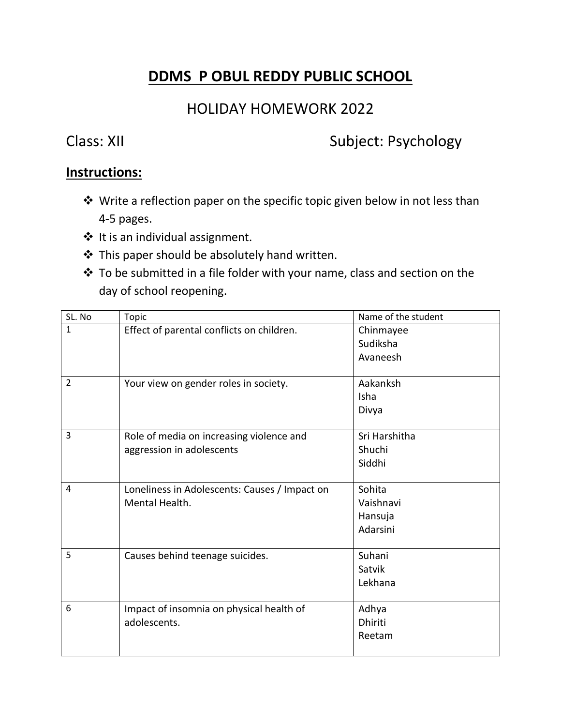### **DDMS P OBUL REDDY PUBLIC SCHOOL**

### HOLIDAY HOMEWORK 2022

### Class: XII Subject: Psychology

### **Instructions:**

- ❖ Write a reflection paper on the specific topic given below in not less than 4-5 pages.
- $*$  It is an individual assignment.
- This paper should be absolutely hand written.
- To be submitted in a file folder with your name, class and section on the day of school reopening.

| SL. No         | <b>Topic</b>                                  | Name of the student |
|----------------|-----------------------------------------------|---------------------|
| $\mathbf{1}$   | Effect of parental conflicts on children.     | Chinmayee           |
|                |                                               | Sudiksha            |
|                |                                               | Avaneesh            |
|                |                                               |                     |
| $\overline{2}$ | Your view on gender roles in society.         | Aakanksh            |
|                |                                               | Isha                |
|                |                                               | Divya               |
|                |                                               |                     |
| 3              | Role of media on increasing violence and      | Sri Harshitha       |
|                | aggression in adolescents                     | Shuchi              |
|                |                                               | Siddhi              |
|                |                                               |                     |
| $\overline{4}$ | Loneliness in Adolescents: Causes / Impact on | Sohita              |
|                | Mental Health.                                | Vaishnavi           |
|                |                                               | Hansuja             |
|                |                                               | Adarsini            |
|                |                                               |                     |
| 5              | Causes behind teenage suicides.               | Suhani              |
|                |                                               | Satvik              |
|                |                                               | Lekhana             |
| 6              |                                               |                     |
|                | Impact of insomnia on physical health of      | Adhya               |
|                | adolescents.                                  | <b>Dhiriti</b>      |
|                |                                               | Reetam              |
|                |                                               |                     |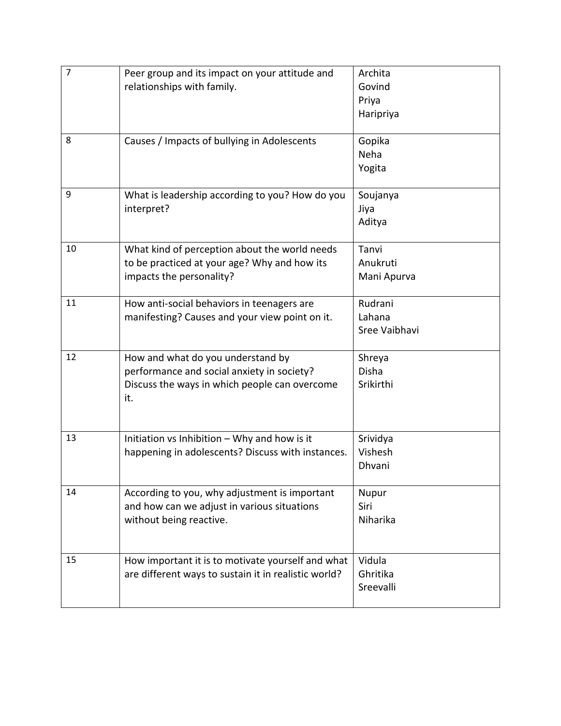| $\overline{7}$ | Peer group and its impact on your attitude and<br>relationships with family.                                                            | Archita<br>Govind<br>Priya<br>Haripriya |
|----------------|-----------------------------------------------------------------------------------------------------------------------------------------|-----------------------------------------|
| 8              | Causes / Impacts of bullying in Adolescents                                                                                             | Gopika<br>Neha<br>Yogita                |
| 9              | What is leadership according to you? How do you<br>interpret?                                                                           | Soujanya<br>Jiya<br>Aditya              |
| 10             | What kind of perception about the world needs<br>to be practiced at your age? Why and how its<br>impacts the personality?               | Tanvi<br>Anukruti<br>Mani Apurva        |
| 11             | How anti-social behaviors in teenagers are<br>manifesting? Causes and your view point on it.                                            | Rudrani<br>Lahana<br>Sree Vaibhavi      |
| 12             | How and what do you understand by<br>performance and social anxiety in society?<br>Discuss the ways in which people can overcome<br>it. | Shreya<br><b>Disha</b><br>Srikirthi     |
| 13             | Initiation vs Inhibition - Why and how is it<br>happening in adolescents? Discuss with instances.                                       | Srividya<br>Vishesh<br>Dhvani           |
| 14             | According to you, why adjustment is important<br>and how can we adjust in various situations<br>without being reactive.                 | Nupur<br>Siri<br>Niharika               |
| 15             | How important it is to motivate yourself and what<br>are different ways to sustain it in realistic world?                               | Vidula<br>Ghritika<br>Sreevalli         |